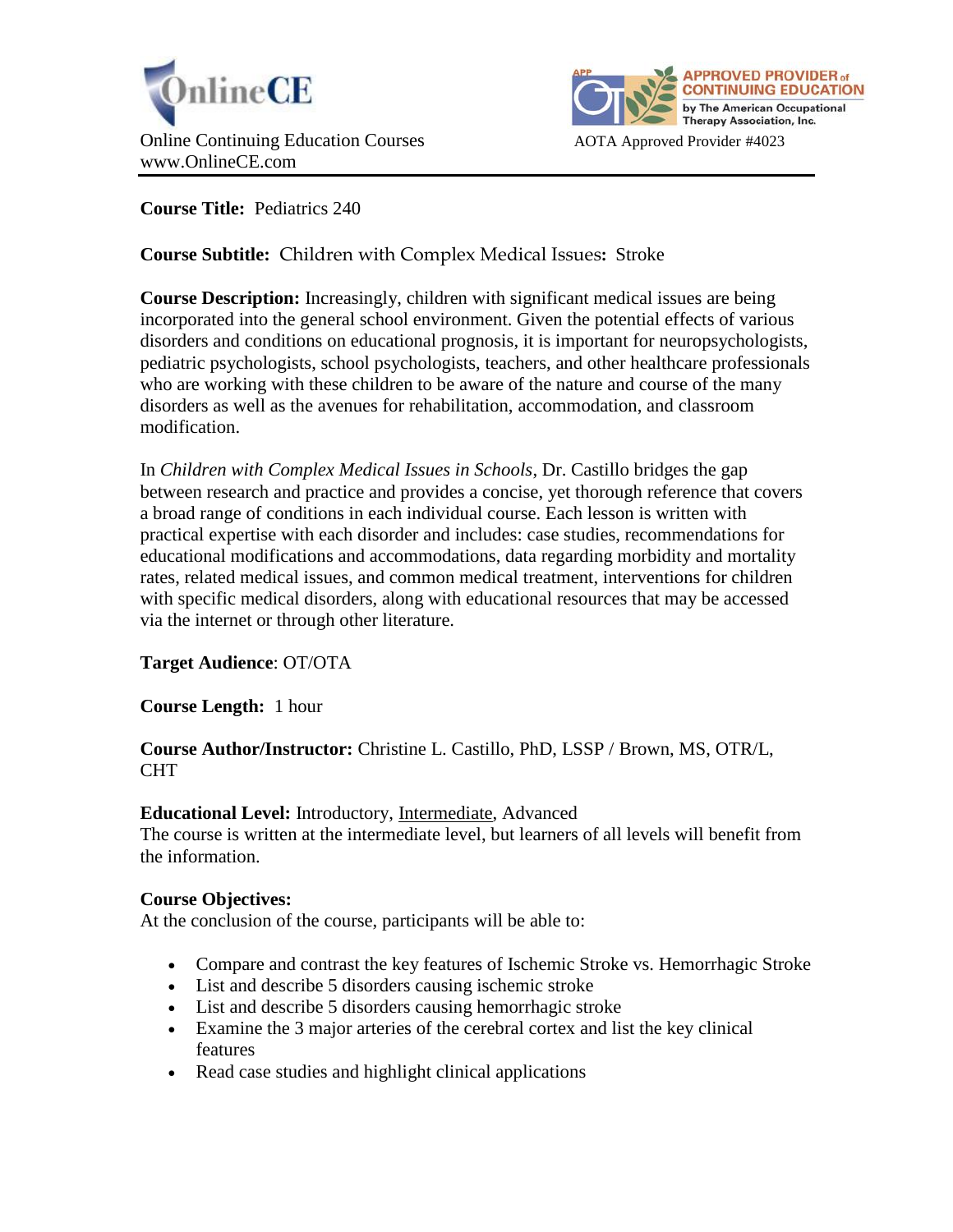



**Course Title:** Pediatrics 240

**Course Subtitle:** Children with Complex Medical Issues**:** Stroke

**Course Description:** Increasingly, children with significant medical issues are being incorporated into the general school environment. Given the potential effects of various disorders and conditions on educational prognosis, it is important for neuropsychologists, pediatric psychologists, school psychologists, teachers, and other healthcare professionals who are working with these children to be aware of the nature and course of the many disorders as well as the avenues for rehabilitation, accommodation, and classroom modification.

In *Children with Complex Medical Issues in Schools*, Dr. Castillo bridges the gap between research and practice and provides a concise, yet thorough reference that covers a broad range of conditions in each individual course. Each lesson is written with practical expertise with each disorder and includes: case studies, recommendations for educational modifications and accommodations, data regarding morbidity and mortality rates, related medical issues, and common medical treatment, interventions for children with specific medical disorders, along with educational resources that may be accessed via the internet or through other literature.

# **Target Audience**: OT/OTA

**Course Length:** 1 hour

# **Course Author/Instructor:** Christine L. Castillo, PhD, LSSP / Brown, MS, OTR/L, CHT

# **Educational Level:** Introductory, Intermediate, Advanced

The course is written at the intermediate level, but learners of all levels will benefit from the information.

# **Course Objectives:**

At the conclusion of the course, participants will be able to:

- Compare and contrast the key features of Ischemic Stroke vs. Hemorrhagic Stroke
- List and describe 5 disorders causing ischemic stroke
- List and describe 5 disorders causing hemorrhagic stroke
- Examine the 3 major arteries of the cerebral cortex and list the key clinical features
- Read case studies and highlight clinical applications